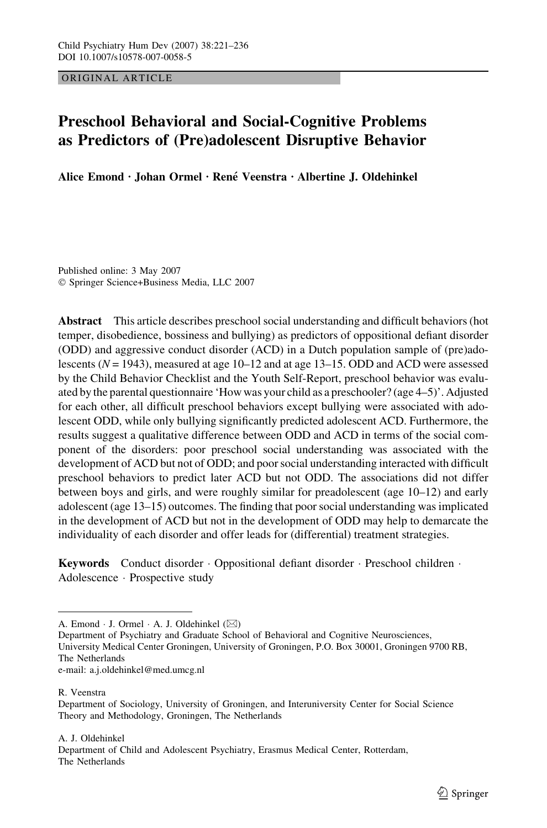ORIGINAL ARTICLE

# Preschool Behavioral and Social-Cognitive Problems as Predictors of (Pre)adolescent Disruptive Behavior

Alice Emond  $\cdot$  Johan Ormel  $\cdot$  René Veenstra  $\cdot$  Albertine J. Oldehinkel

Published online: 3 May 2007 Springer Science+Business Media, LLC 2007

Abstract This article describes preschool social understanding and difficult behaviors (hot temper, disobedience, bossiness and bullying) as predictors of oppositional defiant disorder (ODD) and aggressive conduct disorder (ACD) in a Dutch population sample of (pre)adolescents ( $N = 1943$ ), measured at age 10–12 and at age 13–15. ODD and ACD were assessed by the Child Behavior Checklist and the Youth Self-Report, preschool behavior was evaluated by the parental questionnaire 'How was your child as a preschooler? (age 4–5)'. Adjusted for each other, all difficult preschool behaviors except bullying were associated with adolescent ODD, while only bullying significantly predicted adolescent ACD. Furthermore, the results suggest a qualitative difference between ODD and ACD in terms of the social component of the disorders: poor preschool social understanding was associated with the development of ACD but not of ODD; and poor social understanding interacted with difficult preschool behaviors to predict later ACD but not ODD. The associations did not differ between boys and girls, and were roughly similar for preadolescent (age 10–12) and early adolescent (age 13–15) outcomes. The finding that poor social understanding was implicated in the development of ACD but not in the development of ODD may help to demarcate the individuality of each disorder and offer leads for (differential) treatment strategies.

**Keywords** Conduct disorder  $\cdot$  Oppositional defiant disorder  $\cdot$  Preschool children  $\cdot$ Adolescence · Prospective study

Department of Psychiatry and Graduate School of Behavioral and Cognitive Neurosciences, University Medical Center Groningen, University of Groningen, P.O. Box 30001, Groningen 9700 RB, The Netherlands

e-mail: a.j.oldehinkel@med.umcg.nl

R. Veenstra

A. Emond  $\cdot$  J. Ormel  $\cdot$  A. J. Oldehinkel ( $\boxtimes$ )

Department of Sociology, University of Groningen, and Interuniversity Center for Social Science Theory and Methodology, Groningen, The Netherlands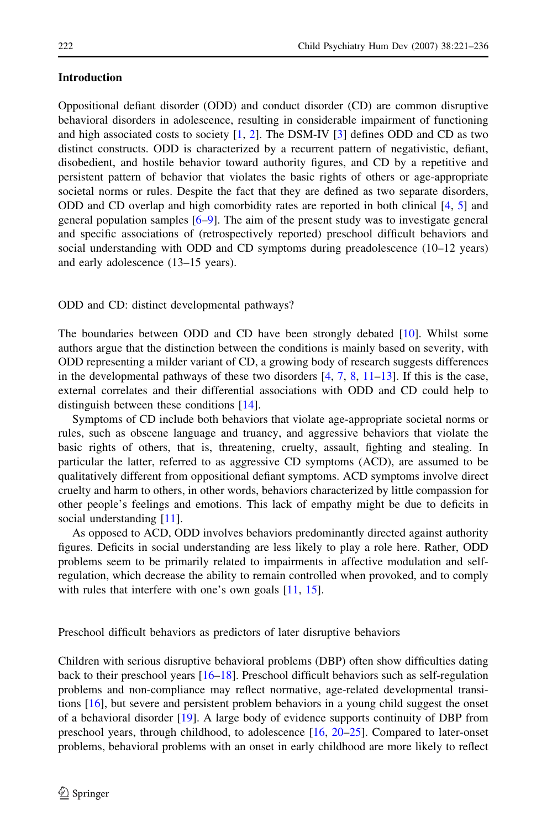# Introduction

Oppositional defiant disorder (ODD) and conduct disorder (CD) are common disruptive behavioral disorders in adolescence, resulting in considerable impairment of functioning and high associated costs to society  $[1, 2]$  $[1, 2]$  $[1, 2]$  $[1, 2]$ . The DSM-IV  $[3]$  $[3]$  defines ODD and CD as two distinct constructs. ODD is characterized by a recurrent pattern of negativistic, defiant, disobedient, and hostile behavior toward authority figures, and CD by a repetitive and persistent pattern of behavior that violates the basic rights of others or age-appropriate societal norms or rules. Despite the fact that they are defined as two separate disorders, ODD and CD overlap and high comorbidity rates are reported in both clinical [[4](#page-13-0), [5\]](#page-13-0) and general population samples [\[6](#page-13-0)–[9\]](#page-13-0). The aim of the present study was to investigate general and specific associations of (retrospectively reported) preschool difficult behaviors and social understanding with ODD and CD symptoms during preadolescence (10–12 years) and early adolescence (13–15 years).

ODD and CD: distinct developmental pathways?

The boundaries between ODD and CD have been strongly debated [[10](#page-13-0)]. Whilst some authors argue that the distinction between the conditions is mainly based on severity, with ODD representing a milder variant of CD, a growing body of research suggests differences in the developmental pathways of these two disorders  $[4, 7, 8, 11-13]$  $[4, 7, 8, 11-13]$  $[4, 7, 8, 11-13]$  $[4, 7, 8, 11-13]$  $[4, 7, 8, 11-13]$  $[4, 7, 8, 11-13]$  $[4, 7, 8, 11-13]$  $[4, 7, 8, 11-13]$  $[4, 7, 8, 11-13]$  $[4, 7, 8, 11-13]$ . If this is the case, external correlates and their differential associations with ODD and CD could help to distinguish between these conditions [[14](#page-13-0)].

Symptoms of CD include both behaviors that violate age-appropriate societal norms or rules, such as obscene language and truancy, and aggressive behaviors that violate the basic rights of others, that is, threatening, cruelty, assault, fighting and stealing. In particular the latter, referred to as aggressive CD symptoms (ACD), are assumed to be qualitatively different from oppositional defiant symptoms. ACD symptoms involve direct cruelty and harm to others, in other words, behaviors characterized by little compassion for other people's feelings and emotions. This lack of empathy might be due to deficits in social understanding [\[11\]](#page-13-0).

As opposed to ACD, ODD involves behaviors predominantly directed against authority figures. Deficits in social understanding are less likely to play a role here. Rather, ODD problems seem to be primarily related to impairments in affective modulation and selfregulation, which decrease the ability to remain controlled when provoked, and to comply with rules that interfere with one's own goals [[11](#page-13-0), [15](#page-13-0)].

Preschool difficult behaviors as predictors of later disruptive behaviors

Children with serious disruptive behavioral problems (DBP) often show difficulties dating back to their preschool years [[16](#page-13-0)–[18](#page-14-0)]. Preschool difficult behaviors such as self-regulation problems and non-compliance may reflect normative, age-related developmental transitions [\[16\]](#page-13-0), but severe and persistent problem behaviors in a young child suggest the onset of a behavioral disorder [\[19\]](#page-14-0). A large body of evidence supports continuity of DBP from preschool years, through childhood, to adolescence [[16](#page-13-0), [20](#page-14-0)–[25](#page-14-0)]. Compared to later-onset problems, behavioral problems with an onset in early childhood are more likely to reflect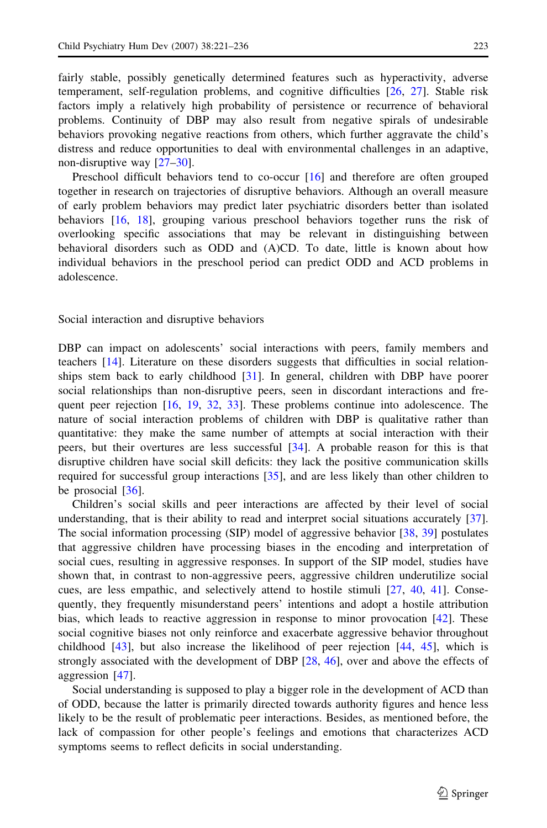fairly stable, possibly genetically determined features such as hyperactivity, adverse temperament, self-regulation problems, and cognitive difficulties [\[26,](#page-14-0) [27\]](#page-14-0). Stable risk factors imply a relatively high probability of persistence or recurrence of behavioral problems. Continuity of DBP may also result from negative spirals of undesirable behaviors provoking negative reactions from others, which further aggravate the child's distress and reduce opportunities to deal with environmental challenges in an adaptive, non-disruptive way [\[27–30\]](#page-14-0).

Preschool difficult behaviors tend to co-occur [\[16\]](#page-13-0) and therefore are often grouped together in research on trajectories of disruptive behaviors. Although an overall measure of early problem behaviors may predict later psychiatric disorders better than isolated behaviors [\[16,](#page-13-0) [18](#page-14-0)], grouping various preschool behaviors together runs the risk of overlooking specific associations that may be relevant in distinguishing between behavioral disorders such as ODD and (A)CD. To date, little is known about how individual behaviors in the preschool period can predict ODD and ACD problems in adolescence.

Social interaction and disruptive behaviors

DBP can impact on adolescents' social interactions with peers, family members and teachers [\[14\]](#page-13-0). Literature on these disorders suggests that difficulties in social relationships stem back to early childhood [[31](#page-14-0)]. In general, children with DBP have poorer social relationships than non-disruptive peers, seen in discordant interactions and frequent peer rejection [[16](#page-13-0), [19,](#page-14-0) [32,](#page-14-0) [33](#page-14-0)]. These problems continue into adolescence. The nature of social interaction problems of children with DBP is qualitative rather than quantitative: they make the same number of attempts at social interaction with their peers, but their overtures are less successful [[34](#page-14-0)]. A probable reason for this is that disruptive children have social skill deficits: they lack the positive communication skills required for successful group interactions [[35](#page-14-0)], and are less likely than other children to be prosocial [\[36\]](#page-14-0).

Children's social skills and peer interactions are affected by their level of social understanding, that is their ability to read and interpret social situations accurately [[37](#page-14-0)]. The social information processing (SIP) model of aggressive behavior [\[38,](#page-14-0) [39](#page-14-0)] postulates that aggressive children have processing biases in the encoding and interpretation of social cues, resulting in aggressive responses. In support of the SIP model, studies have shown that, in contrast to non-aggressive peers, aggressive children underutilize social cues, are less empathic, and selectively attend to hostile stimuli [[27](#page-14-0), [40](#page-14-0), [41\]](#page-14-0). Consequently, they frequently misunderstand peers' intentions and adopt a hostile attribution bias, which leads to reactive aggression in response to minor provocation [[42](#page-14-0)]. These social cognitive biases not only reinforce and exacerbate aggressive behavior throughout childhood  $[43]$  $[43]$  $[43]$ , but also increase the likelihood of peer rejection  $[44, 45]$  $[44, 45]$  $[44, 45]$  $[44, 45]$ , which is strongly associated with the development of DBP [[28](#page-14-0), [46](#page-15-0)], over and above the effects of aggression [\[47\]](#page-15-0).

Social understanding is supposed to play a bigger role in the development of ACD than of ODD, because the latter is primarily directed towards authority figures and hence less likely to be the result of problematic peer interactions. Besides, as mentioned before, the lack of compassion for other people's feelings and emotions that characterizes ACD symptoms seems to reflect deficits in social understanding.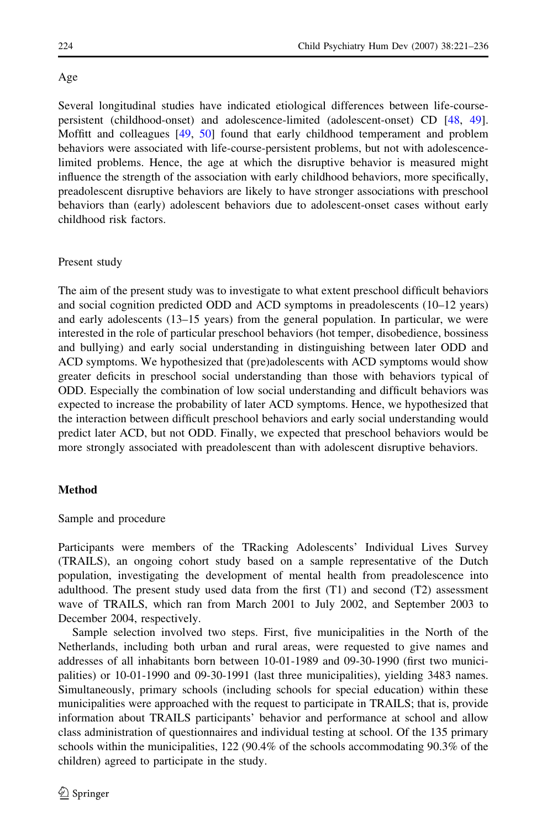# Age

Several longitudinal studies have indicated etiological differences between life-coursepersistent (childhood-onset) and adolescence-limited (adolescent-onset) CD [\[48,](#page-15-0) [49](#page-15-0)]. Moffitt and colleagues [[49](#page-15-0), [50\]](#page-15-0) found that early childhood temperament and problem behaviors were associated with life-course-persistent problems, but not with adolescencelimited problems. Hence, the age at which the disruptive behavior is measured might influence the strength of the association with early childhood behaviors, more specifically, preadolescent disruptive behaviors are likely to have stronger associations with preschool behaviors than (early) adolescent behaviors due to adolescent-onset cases without early childhood risk factors.

# Present study

The aim of the present study was to investigate to what extent preschool difficult behaviors and social cognition predicted ODD and ACD symptoms in preadolescents (10–12 years) and early adolescents (13–15 years) from the general population. In particular, we were interested in the role of particular preschool behaviors (hot temper, disobedience, bossiness and bullying) and early social understanding in distinguishing between later ODD and ACD symptoms. We hypothesized that (pre)adolescents with ACD symptoms would show greater deficits in preschool social understanding than those with behaviors typical of ODD. Especially the combination of low social understanding and difficult behaviors was expected to increase the probability of later ACD symptoms. Hence, we hypothesized that the interaction between difficult preschool behaviors and early social understanding would predict later ACD, but not ODD. Finally, we expected that preschool behaviors would be more strongly associated with preadolescent than with adolescent disruptive behaviors.

# **Method**

Sample and procedure

Participants were members of the TRacking Adolescents' Individual Lives Survey (TRAILS), an ongoing cohort study based on a sample representative of the Dutch population, investigating the development of mental health from preadolescence into adulthood. The present study used data from the first (T1) and second (T2) assessment wave of TRAILS, which ran from March 2001 to July 2002, and September 2003 to December 2004, respectively.

Sample selection involved two steps. First, five municipalities in the North of the Netherlands, including both urban and rural areas, were requested to give names and addresses of all inhabitants born between 10-01-1989 and 09-30-1990 (first two municipalities) or 10-01-1990 and 09-30-1991 (last three municipalities), yielding 3483 names. Simultaneously, primary schools (including schools for special education) within these municipalities were approached with the request to participate in TRAILS; that is, provide information about TRAILS participants' behavior and performance at school and allow class administration of questionnaires and individual testing at school. Of the 135 primary schools within the municipalities, 122 (90.4% of the schools accommodating 90.3% of the children) agreed to participate in the study.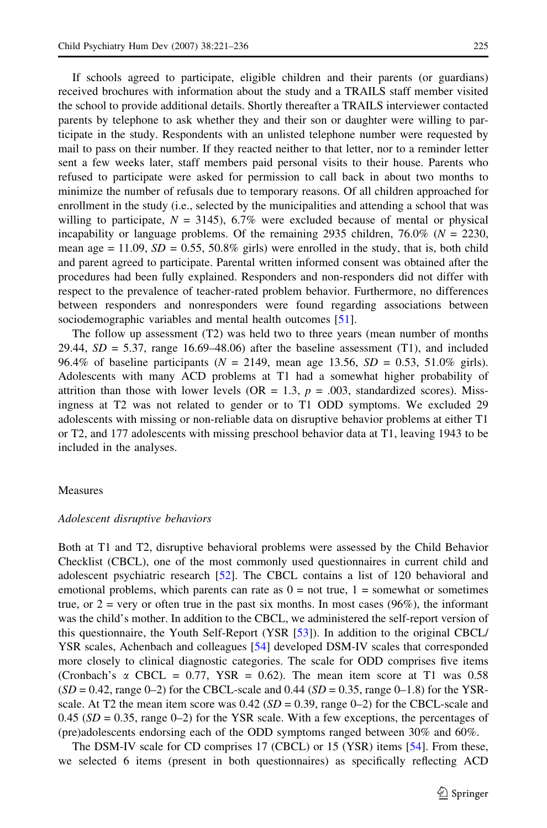If schools agreed to participate, eligible children and their parents (or guardians) received brochures with information about the study and a TRAILS staff member visited the school to provide additional details. Shortly thereafter a TRAILS interviewer contacted parents by telephone to ask whether they and their son or daughter were willing to participate in the study. Respondents with an unlisted telephone number were requested by mail to pass on their number. If they reacted neither to that letter, nor to a reminder letter sent a few weeks later, staff members paid personal visits to their house. Parents who refused to participate were asked for permission to call back in about two months to minimize the number of refusals due to temporary reasons. Of all children approached for enrollment in the study (i.e., selected by the municipalities and attending a school that was willing to participate,  $N = 3145$ , 6.7% were excluded because of mental or physical incapability or language problems. Of the remaining 2935 children,  $76.0\%$  ( $N = 2230$ , mean age =  $11.09$ ,  $SD = 0.55$ ,  $50.8\%$  girls) were enrolled in the study, that is, both child and parent agreed to participate. Parental written informed consent was obtained after the procedures had been fully explained. Responders and non-responders did not differ with respect to the prevalence of teacher-rated problem behavior. Furthermore, no differences between responders and nonresponders were found regarding associations between sociodemographic variables and mental health outcomes [[51](#page-15-0)].

The follow up assessment (T2) was held two to three years (mean number of months 29.44,  $SD = 5.37$ , range 16.69–48.06) after the baseline assessment (T1), and included 96.4% of baseline participants ( $N = 2149$ , mean age 13.56,  $SD = 0.53$ , 51.0% girls). Adolescents with many ACD problems at T1 had a somewhat higher probability of attrition than those with lower levels (OR = 1.3,  $p = .003$ , standardized scores). Missingness at T2 was not related to gender or to T1 ODD symptoms. We excluded 29 adolescents with missing or non-reliable data on disruptive behavior problems at either T1 or T2, and 177 adolescents with missing preschool behavior data at T1, leaving 1943 to be included in the analyses.

#### Measures

#### Adolescent disruptive behaviors

Both at T1 and T2, disruptive behavioral problems were assessed by the Child Behavior Checklist (CBCL), one of the most commonly used questionnaires in current child and adolescent psychiatric research [\[52\]](#page-15-0). The CBCL contains a list of 120 behavioral and emotional problems, which parents can rate as  $0 =$  not true,  $1 =$  somewhat or sometimes true, or  $2 = \text{very or often true in the past six months. In most cases (96%), the informat$ was the child's mother. In addition to the CBCL, we administered the self-report version of this questionnaire, the Youth Self-Report (YSR [[53](#page-15-0)]). In addition to the original CBCL/ YSR scales, Achenbach and colleagues [[54](#page-15-0)] developed DSM-IV scales that corresponded more closely to clinical diagnostic categories. The scale for ODD comprises five items (Cronbach's  $\alpha$  CBCL = 0.77, YSR = 0.62). The mean item score at T1 was 0.58  $(SD = 0.42$ , range 0–2) for the CBCL-scale and 0.44  $(SD = 0.35$ , range 0–1.8) for the YSRscale. At T2 the mean item score was  $0.42$  (SD = 0.39, range 0–2) for the CBCL-scale and  $0.45$  (SD = 0.35, range 0–2) for the YSR scale. With a few exceptions, the percentages of (pre)adolescents endorsing each of the ODD symptoms ranged between 30% and 60%.

The DSM-IV scale for CD comprises 17 (CBCL) or 15 (YSR) items [\[54\]](#page-15-0). From these, we selected 6 items (present in both questionnaires) as specifically reflecting ACD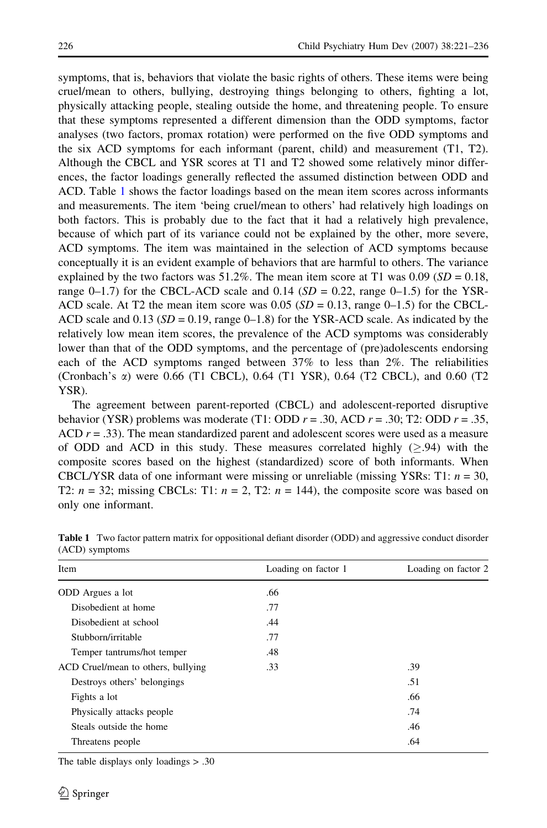symptoms, that is, behaviors that violate the basic rights of others. These items were being cruel/mean to others, bullying, destroying things belonging to others, fighting a lot, physically attacking people, stealing outside the home, and threatening people. To ensure that these symptoms represented a different dimension than the ODD symptoms, factor analyses (two factors, promax rotation) were performed on the five ODD symptoms and the six ACD symptoms for each informant (parent, child) and measurement (T1, T2). Although the CBCL and YSR scores at T1 and T2 showed some relatively minor differences, the factor loadings generally reflected the assumed distinction between ODD and ACD. Table 1 shows the factor loadings based on the mean item scores across informants and measurements. The item 'being cruel/mean to others' had relatively high loadings on both factors. This is probably due to the fact that it had a relatively high prevalence, because of which part of its variance could not be explained by the other, more severe, ACD symptoms. The item was maintained in the selection of ACD symptoms because conceptually it is an evident example of behaviors that are harmful to others. The variance explained by the two factors was  $51.2\%$ . The mean item score at T1 was 0.09 (SD = 0.18, range  $0-1.7$ ) for the CBCL-ACD scale and 0.14 ( $SD = 0.22$ , range  $0-1.5$ ) for the YSR-ACD scale. At T2 the mean item score was  $0.05$  ( $SD = 0.13$ , range 0–1.5) for the CBCL-ACD scale and  $0.13$  ( $SD = 0.19$ , range  $0-1.8$ ) for the YSR-ACD scale. As indicated by the relatively low mean item scores, the prevalence of the ACD symptoms was considerably lower than that of the ODD symptoms, and the percentage of (pre)adolescents endorsing each of the ACD symptoms ranged between 37% to less than 2%. The reliabilities (Cronbach's  $\alpha$ ) were 0.66 (T1 CBCL), 0.64 (T1 YSR), 0.64 (T2 CBCL), and 0.60 (T2 YSR).

The agreement between parent-reported (CBCL) and adolescent-reported disruptive behavior (YSR) problems was moderate (T1: ODD  $r = .30$ , ACD  $r = .30$ ; T2: ODD  $r = .35$ , ACD  $r = .33$ ). The mean standardized parent and adolescent scores were used as a measure of ODD and ACD in this study. These measures correlated highly  $(\geq .94)$  with the composite scores based on the highest (standardized) score of both informants. When CBCL/YSR data of one informant were missing or unreliable (missing YSRs: T1:  $n = 30$ , T2:  $n = 32$ ; missing CBCLs: T1:  $n = 2$ , T2:  $n = 144$ ), the composite score was based on only one informant.

| Item                               | Loading on factor 1 | Loading on factor 2 |  |
|------------------------------------|---------------------|---------------------|--|
| ODD Argues a lot                   | .66                 |                     |  |
| Disobedient at home                | .77                 |                     |  |
| Disobedient at school              | .44                 |                     |  |
| Stubborn/irritable                 | .77                 |                     |  |
| Temper tantrums/hot temper         | .48                 |                     |  |
| ACD Cruel/mean to others, bullying | .33                 | .39                 |  |
| Destroys others' belongings        |                     | .51                 |  |
| Fights a lot                       |                     | .66                 |  |
| Physically attacks people          |                     | .74                 |  |
| Steals outside the home            |                     | .46                 |  |
| Threatens people                   |                     | .64                 |  |

Table 1 Two factor pattern matrix for oppositional defiant disorder (ODD) and aggressive conduct disorder (ACD) symptoms

The table displays only loadings > .30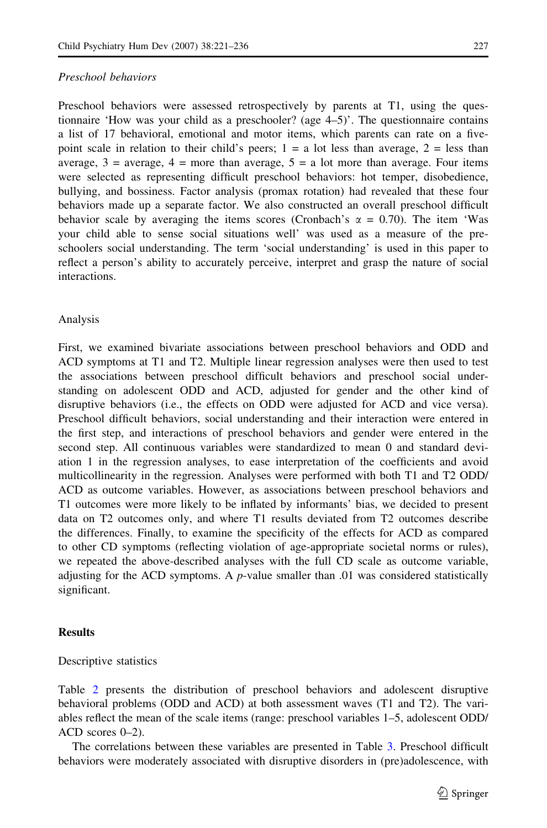## Preschool behaviors

Preschool behaviors were assessed retrospectively by parents at T1, using the questionnaire 'How was your child as a preschooler? (age 4–5)'. The questionnaire contains a list of 17 behavioral, emotional and motor items, which parents can rate on a fivepoint scale in relation to their child's peers;  $1 = a$  lot less than average,  $2 =$  less than average,  $3 = \text{average}$ ,  $4 = \text{more than average}$ ,  $5 = \text{a lot more than average}$ . Four items were selected as representing difficult preschool behaviors: hot temper, disobedience, bullying, and bossiness. Factor analysis (promax rotation) had revealed that these four behaviors made up a separate factor. We also constructed an overall preschool difficult behavior scale by averaging the items scores (Cronbach's  $\alpha = 0.70$ ). The item 'Was your child able to sense social situations well' was used as a measure of the preschoolers social understanding. The term 'social understanding' is used in this paper to reflect a person's ability to accurately perceive, interpret and grasp the nature of social interactions.

### Analysis

First, we examined bivariate associations between preschool behaviors and ODD and ACD symptoms at T1 and T2. Multiple linear regression analyses were then used to test the associations between preschool difficult behaviors and preschool social understanding on adolescent ODD and ACD, adjusted for gender and the other kind of disruptive behaviors (i.e., the effects on ODD were adjusted for ACD and vice versa). Preschool difficult behaviors, social understanding and their interaction were entered in the first step, and interactions of preschool behaviors and gender were entered in the second step. All continuous variables were standardized to mean 0 and standard deviation 1 in the regression analyses, to ease interpretation of the coefficients and avoid multicollinearity in the regression. Analyses were performed with both T1 and T2 ODD/ ACD as outcome variables. However, as associations between preschool behaviors and T1 outcomes were more likely to be inflated by informants' bias, we decided to present data on T2 outcomes only, and where T1 results deviated from T2 outcomes describe the differences. Finally, to examine the specificity of the effects for ACD as compared to other CD symptoms (reflecting violation of age-appropriate societal norms or rules), we repeated the above-described analyses with the full CD scale as outcome variable, adjusting for the ACD symptoms. A *p*-value smaller than  $.01$  was considered statistically significant.

#### **Results**

# Descriptive statistics

Table [2](#page-7-0) presents the distribution of preschool behaviors and adolescent disruptive behavioral problems (ODD and ACD) at both assessment waves (T1 and T2). The variables reflect the mean of the scale items (range: preschool variables 1–5, adolescent ODD/ ACD scores 0–2).

The correlations between these variables are presented in Table [3.](#page-7-0) Preschool difficult behaviors were moderately associated with disruptive disorders in (pre)adolescence, with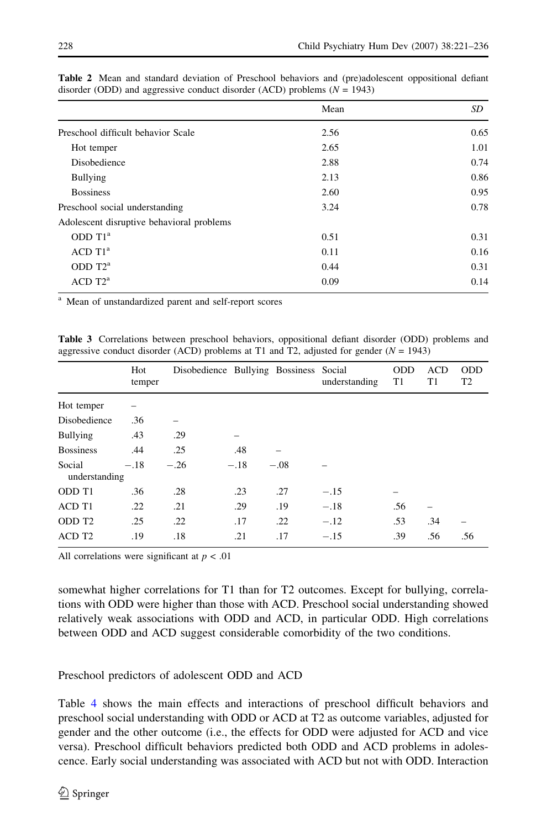| Mean | SD   |
|------|------|
| 2.56 | 0.65 |
| 2.65 | 1.01 |
| 2.88 | 0.74 |
| 2.13 | 0.86 |
| 2.60 | 0.95 |
| 3.24 | 0.78 |
|      |      |
| 0.51 | 0.31 |
| 0.11 | 0.16 |
| 0.44 | 0.31 |
| 0.09 | 0.14 |
|      |      |

<span id="page-7-0"></span>Table 2 Mean and standard deviation of Preschool behaviors and (pre)adolescent oppositional defiant disorder (ODD) and aggressive conduct disorder (ACD) problems ( $N = 1943$ )

Mean of unstandardized parent and self-report scores

Table 3 Correlations between preschool behaviors, oppositional defiant disorder (ODD) problems and aggressive conduct disorder (ACD) problems at T1 and T2, adjusted for gender ( $N = 1943$ )

|                         | Hot<br>temper |        |        | Disobedience Bullying Bossiness Social | understanding | <b>ODD</b><br>T1 | <b>ACD</b><br>T1 | <b>ODD</b><br>T <sub>2</sub> |
|-------------------------|---------------|--------|--------|----------------------------------------|---------------|------------------|------------------|------------------------------|
| Hot temper              |               |        |        |                                        |               |                  |                  |                              |
| Disobedience            | .36           |        |        |                                        |               |                  |                  |                              |
| <b>Bullying</b>         | .43           | .29    |        |                                        |               |                  |                  |                              |
| <b>Bossiness</b>        | .44           | .25    | .48    |                                        |               |                  |                  |                              |
| Social<br>understanding | $-.18$        | $-.26$ | $-.18$ | $-.08$                                 |               |                  |                  |                              |
| ODD T1                  | .36           | .28    | .23    | .27                                    | $-.15$        |                  |                  |                              |
| ACD T1                  | .22           | .21    | .29    | .19                                    | $-.18$        | .56              |                  |                              |
| ODD T <sub>2</sub>      | .25           | .22    | .17    | .22                                    | $-.12$        | .53              | .34              |                              |
| ACD T <sub>2</sub>      | .19           | .18    | .21    | .17                                    | $-.15$        | .39              | .56              | .56                          |

All correlations were significant at  $p < .01$ 

somewhat higher correlations for T1 than for T2 outcomes. Except for bullying, correlations with ODD were higher than those with ACD. Preschool social understanding showed relatively weak associations with ODD and ACD, in particular ODD. High correlations between ODD and ACD suggest considerable comorbidity of the two conditions.

# Preschool predictors of adolescent ODD and ACD

Table [4](#page-8-0) shows the main effects and interactions of preschool difficult behaviors and preschool social understanding with ODD or ACD at T2 as outcome variables, adjusted for gender and the other outcome (i.e., the effects for ODD were adjusted for ACD and vice versa). Preschool difficult behaviors predicted both ODD and ACD problems in adolescence. Early social understanding was associated with ACD but not with ODD. Interaction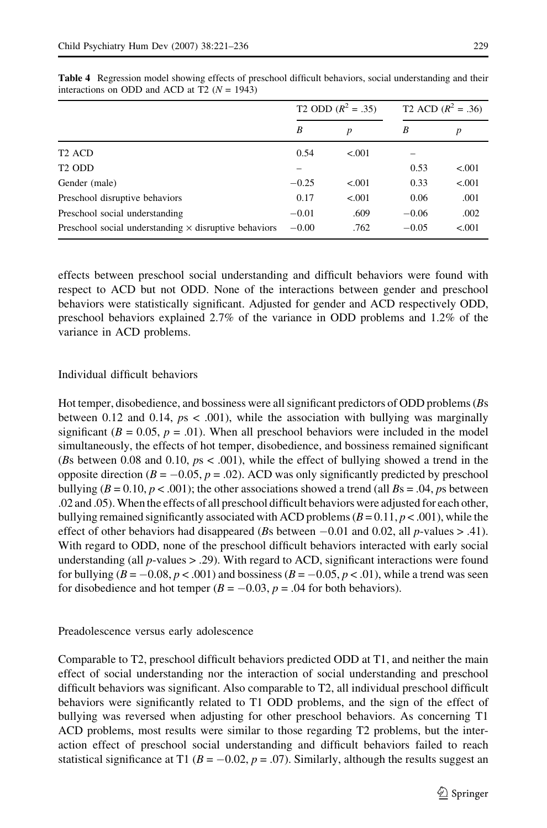|                                                              |         | T2 ODD $(R^2 = .35)$ |         | T <sub>2</sub> ACD $(R^2 = .36)$ |  |
|--------------------------------------------------------------|---------|----------------------|---------|----------------------------------|--|
|                                                              | B       | p                    | B       | p                                |  |
| T <sub>2</sub> AC <sub>D</sub>                               | 0.54    | < 0.001              |         |                                  |  |
| T <sub>2</sub> ODD                                           |         |                      | 0.53    | < 0.001                          |  |
| Gender (male)                                                | $-0.25$ | < 0.001              | 0.33    | < 0.001                          |  |
| Preschool disruptive behaviors                               | 0.17    | < 0.001              | 0.06    | .001                             |  |
| Preschool social understanding                               | $-0.01$ | .609                 | $-0.06$ | .002                             |  |
| Preschool social understanding $\times$ disruptive behaviors | $-0.00$ | .762                 | $-0.05$ | < 0.001                          |  |

<span id="page-8-0"></span>Table 4 Regression model showing effects of preschool difficult behaviors, social understanding and their interactions on ODD and ACD at T2  $(N = 1943)$ 

effects between preschool social understanding and difficult behaviors were found with respect to ACD but not ODD. None of the interactions between gender and preschool behaviors were statistically significant. Adjusted for gender and ACD respectively ODD, preschool behaviors explained 2.7% of the variance in ODD problems and 1.2% of the variance in ACD problems.

# Individual difficult behaviors

Hot temper, disobedience, and bossiness were all significant predictors of ODD problems (Bs between 0.12 and 0.14,  $ps < .001$ ), while the association with bullying was marginally significant ( $B = 0.05$ ,  $p = .01$ ). When all preschool behaviors were included in the model simultaneously, the effects of hot temper, disobedience, and bossiness remained significant (Bs between 0.08 and 0.10,  $ps < .001$ ), while the effect of bullying showed a trend in the opposite direction ( $B = -0.05$ ,  $p = .02$ ). ACD was only significantly predicted by preschool bullying ( $B = 0.10$ ,  $p < .001$ ); the other associations showed a trend (all  $Bs = .04$ ,  $ps$  between .02 and .05). When the effects of all preschool difficult behaviors were adjusted for each other, bullying remained significantly associated with ACD problems  $(B = 0.11, p < .001)$ , while the effect of other behaviors had disappeared (Bs between  $-0.01$  and 0.02, all p-values  $> .41$ ). With regard to ODD, none of the preschool difficult behaviors interacted with early social understanding (all  $p$ -values  $> .29$ ). With regard to ACD, significant interactions were found for bullying  $(B = -0.08, p < .001)$  and bossiness  $(B = -0.05, p < .01)$ , while a trend was seen for disobedience and hot temper ( $B = -0.03$ ,  $p = 0.04$  for both behaviors).

#### Preadolescence versus early adolescence

Comparable to T2, preschool difficult behaviors predicted ODD at T1, and neither the main effect of social understanding nor the interaction of social understanding and preschool difficult behaviors was significant. Also comparable to T2, all individual preschool difficult behaviors were significantly related to T1 ODD problems, and the sign of the effect of bullying was reversed when adjusting for other preschool behaviors. As concerning T1 ACD problems, most results were similar to those regarding T2 problems, but the interaction effect of preschool social understanding and difficult behaviors failed to reach statistical significance at T1 ( $B = -0.02$ ,  $p = .07$ ). Similarly, although the results suggest an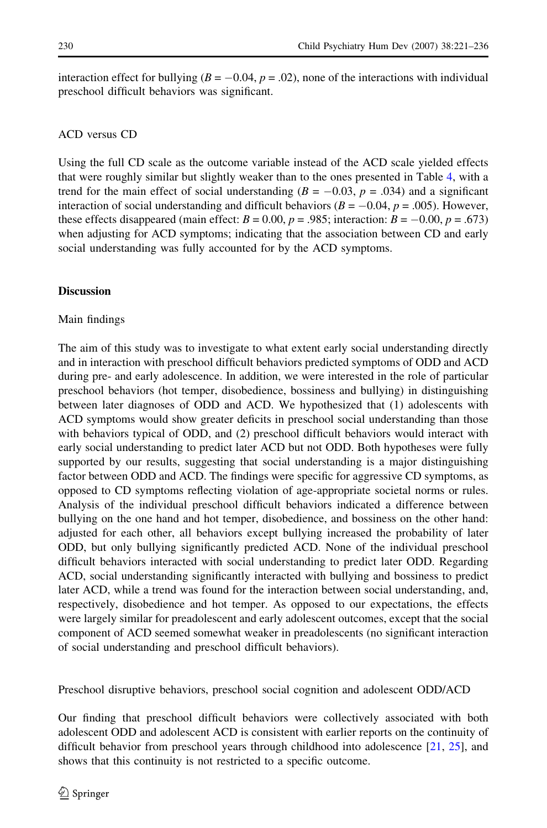interaction effect for bullying  $(B = -0.04, p = .02)$ , none of the interactions with individual preschool difficult behaviors was significant.

# ACD versus CD

Using the full CD scale as the outcome variable instead of the ACD scale yielded effects that were roughly similar but slightly weaker than to the ones presented in Table [4,](#page-8-0) with a trend for the main effect of social understanding ( $B = -0.03$ ,  $p = .034$ ) and a significant interaction of social understanding and difficult behaviors ( $B = -0.04$ ,  $p = .005$ ). However, these effects disappeared (main effect:  $B = 0.00$ ,  $p = .985$ ; interaction:  $B = -0.00$ ,  $p = .673$ ) when adjusting for ACD symptoms; indicating that the association between CD and early social understanding was fully accounted for by the ACD symptoms.

# Discussion

# Main findings

The aim of this study was to investigate to what extent early social understanding directly and in interaction with preschool difficult behaviors predicted symptoms of ODD and ACD during pre- and early adolescence. In addition, we were interested in the role of particular preschool behaviors (hot temper, disobedience, bossiness and bullying) in distinguishing between later diagnoses of ODD and ACD. We hypothesized that (1) adolescents with ACD symptoms would show greater deficits in preschool social understanding than those with behaviors typical of ODD, and (2) preschool difficult behaviors would interact with early social understanding to predict later ACD but not ODD. Both hypotheses were fully supported by our results, suggesting that social understanding is a major distinguishing factor between ODD and ACD. The findings were specific for aggressive CD symptoms, as opposed to CD symptoms reflecting violation of age-appropriate societal norms or rules. Analysis of the individual preschool difficult behaviors indicated a difference between bullying on the one hand and hot temper, disobedience, and bossiness on the other hand: adjusted for each other, all behaviors except bullying increased the probability of later ODD, but only bullying significantly predicted ACD. None of the individual preschool difficult behaviors interacted with social understanding to predict later ODD. Regarding ACD, social understanding significantly interacted with bullying and bossiness to predict later ACD, while a trend was found for the interaction between social understanding, and, respectively, disobedience and hot temper. As opposed to our expectations, the effects were largely similar for preadolescent and early adolescent outcomes, except that the social component of ACD seemed somewhat weaker in preadolescents (no significant interaction of social understanding and preschool difficult behaviors).

Preschool disruptive behaviors, preschool social cognition and adolescent ODD/ACD

Our finding that preschool difficult behaviors were collectively associated with both adolescent ODD and adolescent ACD is consistent with earlier reports on the continuity of difficult behavior from preschool years through childhood into adolescence [[21](#page-14-0), [25](#page-14-0)], and shows that this continuity is not restricted to a specific outcome.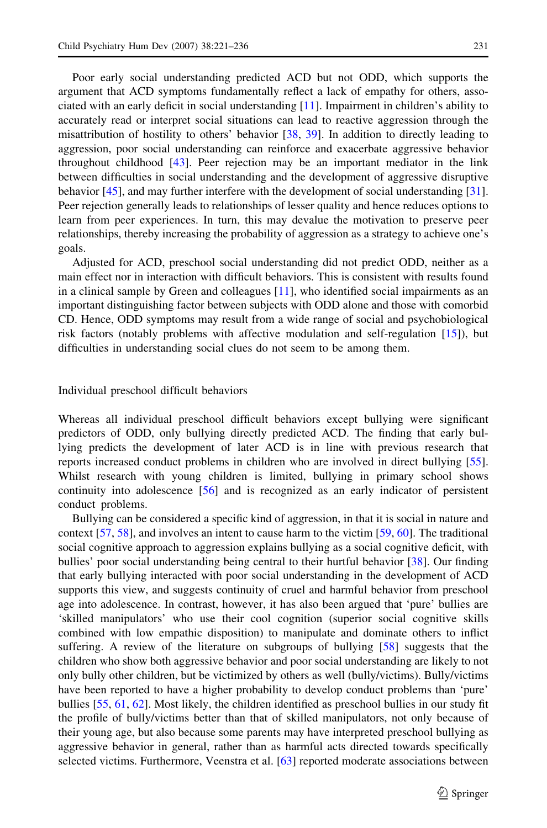Poor early social understanding predicted ACD but not ODD, which supports the argument that ACD symptoms fundamentally reflect a lack of empathy for others, associated with an early deficit in social understanding [\[11](#page-13-0)]. Impairment in children's ability to accurately read or interpret social situations can lead to reactive aggression through the misattribution of hostility to others' behavior [\[38,](#page-14-0) [39](#page-14-0)]. In addition to directly leading to aggression, poor social understanding can reinforce and exacerbate aggressive behavior throughout childhood [\[43\]](#page-14-0). Peer rejection may be an important mediator in the link between difficulties in social understanding and the development of aggressive disruptive behavior [\[45\]](#page-15-0), and may further interfere with the development of social understanding [[31](#page-14-0)]. Peer rejection generally leads to relationships of lesser quality and hence reduces options to learn from peer experiences. In turn, this may devalue the motivation to preserve peer relationships, thereby increasing the probability of aggression as a strategy to achieve one's goals.

Adjusted for ACD, preschool social understanding did not predict ODD, neither as a main effect nor in interaction with difficult behaviors. This is consistent with results found in a clinical sample by Green and colleagues  $[11]$  $[11]$  $[11]$ , who identified social impairments as an important distinguishing factor between subjects with ODD alone and those with comorbid CD. Hence, ODD symptoms may result from a wide range of social and psychobiological risk factors (notably problems with affective modulation and self-regulation [\[15](#page-13-0)]), but difficulties in understanding social clues do not seem to be among them.

## Individual preschool difficult behaviors

Whereas all individual preschool difficult behaviors except bullying were significant predictors of ODD, only bullying directly predicted ACD. The finding that early bullying predicts the development of later ACD is in line with previous research that reports increased conduct problems in children who are involved in direct bullying [[55](#page-15-0)]. Whilst research with young children is limited, bullying in primary school shows continuity into adolescence [[56](#page-15-0)] and is recognized as an early indicator of persistent conduct problems.

Bullying can be considered a specific kind of aggression, in that it is social in nature and context [\[57,](#page-15-0) [58\]](#page-15-0), and involves an intent to cause harm to the victim [\[59,](#page-15-0) [60\]](#page-15-0). The traditional social cognitive approach to aggression explains bullying as a social cognitive deficit, with bullies' poor social understanding being central to their hurtful behavior [[38\]](#page-14-0). Our finding that early bullying interacted with poor social understanding in the development of ACD supports this view, and suggests continuity of cruel and harmful behavior from preschool age into adolescence. In contrast, however, it has also been argued that 'pure' bullies are 'skilled manipulators' who use their cool cognition (superior social cognitive skills combined with low empathic disposition) to manipulate and dominate others to inflict suffering. A review of the literature on subgroups of bullying [[58](#page-15-0)] suggests that the children who show both aggressive behavior and poor social understanding are likely to not only bully other children, but be victimized by others as well (bully/victims). Bully/victims have been reported to have a higher probability to develop conduct problems than 'pure' bullies [[55](#page-15-0), [61,](#page-15-0) [62\]](#page-15-0). Most likely, the children identified as preschool bullies in our study fit the profile of bully/victims better than that of skilled manipulators, not only because of their young age, but also because some parents may have interpreted preschool bullying as aggressive behavior in general, rather than as harmful acts directed towards specifically selected victims. Furthermore, Veenstra et al. [[63\]](#page-15-0) reported moderate associations between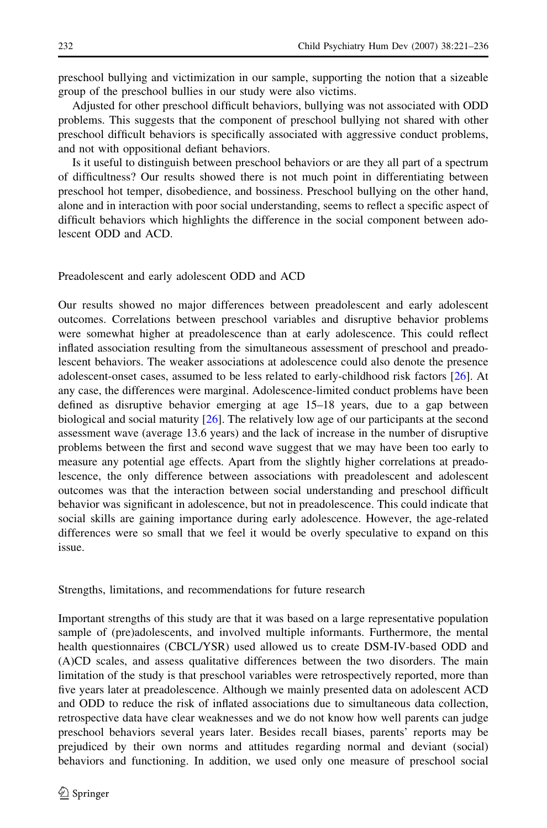preschool bullying and victimization in our sample, supporting the notion that a sizeable group of the preschool bullies in our study were also victims.

Adjusted for other preschool difficult behaviors, bullying was not associated with ODD problems. This suggests that the component of preschool bullying not shared with other preschool difficult behaviors is specifically associated with aggressive conduct problems, and not with oppositional defiant behaviors.

Is it useful to distinguish between preschool behaviors or are they all part of a spectrum of difficultness? Our results showed there is not much point in differentiating between preschool hot temper, disobedience, and bossiness. Preschool bullying on the other hand, alone and in interaction with poor social understanding, seems to reflect a specific aspect of difficult behaviors which highlights the difference in the social component between adolescent ODD and ACD.

### Preadolescent and early adolescent ODD and ACD

Our results showed no major differences between preadolescent and early adolescent outcomes. Correlations between preschool variables and disruptive behavior problems were somewhat higher at preadolescence than at early adolescence. This could reflect inflated association resulting from the simultaneous assessment of preschool and preadolescent behaviors. The weaker associations at adolescence could also denote the presence adolescent-onset cases, assumed to be less related to early-childhood risk factors [\[26\]](#page-14-0). At any case, the differences were marginal. Adolescence-limited conduct problems have been defined as disruptive behavior emerging at age 15–18 years, due to a gap between biological and social maturity [[26](#page-14-0)]. The relatively low age of our participants at the second assessment wave (average 13.6 years) and the lack of increase in the number of disruptive problems between the first and second wave suggest that we may have been too early to measure any potential age effects. Apart from the slightly higher correlations at preadolescence, the only difference between associations with preadolescent and adolescent outcomes was that the interaction between social understanding and preschool difficult behavior was significant in adolescence, but not in preadolescence. This could indicate that social skills are gaining importance during early adolescence. However, the age-related differences were so small that we feel it would be overly speculative to expand on this issue.

Strengths, limitations, and recommendations for future research

Important strengths of this study are that it was based on a large representative population sample of (pre)adolescents, and involved multiple informants. Furthermore, the mental health questionnaires (CBCL/YSR) used allowed us to create DSM-IV-based ODD and (A)CD scales, and assess qualitative differences between the two disorders. The main limitation of the study is that preschool variables were retrospectively reported, more than five years later at preadolescence. Although we mainly presented data on adolescent ACD and ODD to reduce the risk of inflated associations due to simultaneous data collection, retrospective data have clear weaknesses and we do not know how well parents can judge preschool behaviors several years later. Besides recall biases, parents' reports may be prejudiced by their own norms and attitudes regarding normal and deviant (social) behaviors and functioning. In addition, we used only one measure of preschool social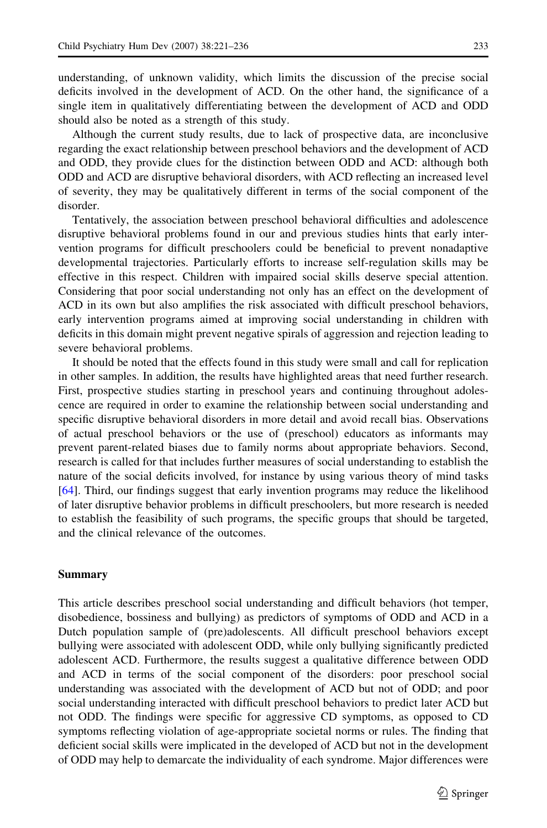understanding, of unknown validity, which limits the discussion of the precise social deficits involved in the development of ACD. On the other hand, the significance of a single item in qualitatively differentiating between the development of ACD and ODD should also be noted as a strength of this study.

Although the current study results, due to lack of prospective data, are inconclusive regarding the exact relationship between preschool behaviors and the development of ACD and ODD, they provide clues for the distinction between ODD and ACD: although both ODD and ACD are disruptive behavioral disorders, with ACD reflecting an increased level of severity, they may be qualitatively different in terms of the social component of the disorder.

Tentatively, the association between preschool behavioral difficulties and adolescence disruptive behavioral problems found in our and previous studies hints that early intervention programs for difficult preschoolers could be beneficial to prevent nonadaptive developmental trajectories. Particularly efforts to increase self-regulation skills may be effective in this respect. Children with impaired social skills deserve special attention. Considering that poor social understanding not only has an effect on the development of ACD in its own but also amplifies the risk associated with difficult preschool behaviors, early intervention programs aimed at improving social understanding in children with deficits in this domain might prevent negative spirals of aggression and rejection leading to severe behavioral problems.

It should be noted that the effects found in this study were small and call for replication in other samples. In addition, the results have highlighted areas that need further research. First, prospective studies starting in preschool years and continuing throughout adolescence are required in order to examine the relationship between social understanding and specific disruptive behavioral disorders in more detail and avoid recall bias. Observations of actual preschool behaviors or the use of (preschool) educators as informants may prevent parent-related biases due to family norms about appropriate behaviors. Second, research is called for that includes further measures of social understanding to establish the nature of the social deficits involved, for instance by using various theory of mind tasks [[64](#page-15-0)]. Third, our findings suggest that early invention programs may reduce the likelihood of later disruptive behavior problems in difficult preschoolers, but more research is needed to establish the feasibility of such programs, the specific groups that should be targeted, and the clinical relevance of the outcomes.

#### Summary

This article describes preschool social understanding and difficult behaviors (hot temper, disobedience, bossiness and bullying) as predictors of symptoms of ODD and ACD in a Dutch population sample of (pre)adolescents. All difficult preschool behaviors except bullying were associated with adolescent ODD, while only bullying significantly predicted adolescent ACD. Furthermore, the results suggest a qualitative difference between ODD and ACD in terms of the social component of the disorders: poor preschool social understanding was associated with the development of ACD but not of ODD; and poor social understanding interacted with difficult preschool behaviors to predict later ACD but not ODD. The findings were specific for aggressive CD symptoms, as opposed to CD symptoms reflecting violation of age-appropriate societal norms or rules. The finding that deficient social skills were implicated in the developed of ACD but not in the development of ODD may help to demarcate the individuality of each syndrome. Major differences were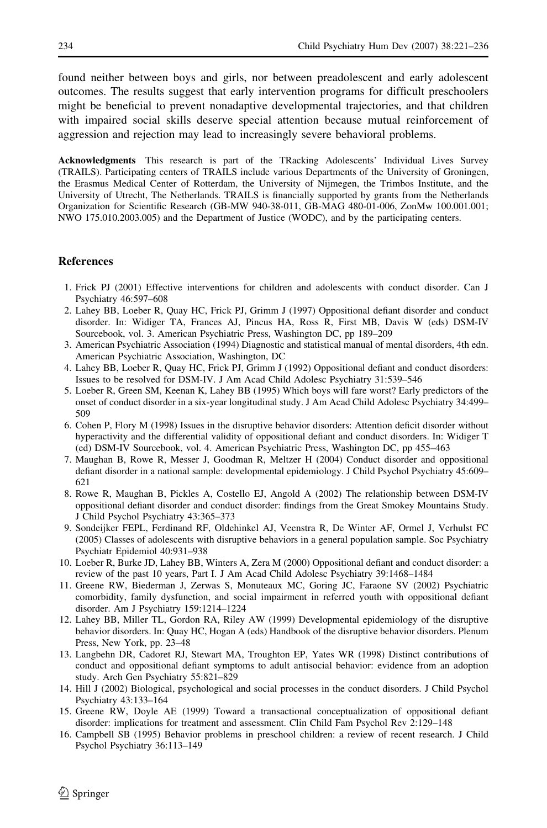<span id="page-13-0"></span>found neither between boys and girls, nor between preadolescent and early adolescent outcomes. The results suggest that early intervention programs for difficult preschoolers might be beneficial to prevent nonadaptive developmental trajectories, and that children with impaired social skills deserve special attention because mutual reinforcement of aggression and rejection may lead to increasingly severe behavioral problems.

Acknowledgments This research is part of the TRacking Adolescents' Individual Lives Survey (TRAILS). Participating centers of TRAILS include various Departments of the University of Groningen, the Erasmus Medical Center of Rotterdam, the University of Nijmegen, the Trimbos Institute, and the University of Utrecht, The Netherlands. TRAILS is financially supported by grants from the Netherlands Organization for Scientific Research (GB-MW 940-38-011, GB-MAG 480-01-006, ZonMw 100.001.001; NWO 175.010.2003.005) and the Department of Justice (WODC), and by the participating centers.

### References

- 1. Frick PJ (2001) Effective interventions for children and adolescents with conduct disorder. Can J Psychiatry 46:597–608
- 2. Lahey BB, Loeber R, Quay HC, Frick PJ, Grimm J (1997) Oppositional defiant disorder and conduct disorder. In: Widiger TA, Frances AJ, Pincus HA, Ross R, First MB, Davis W (eds) DSM-IV Sourcebook, vol. 3. American Psychiatric Press, Washington DC, pp 189–209
- 3. American Psychiatric Association (1994) Diagnostic and statistical manual of mental disorders, 4th edn. American Psychiatric Association, Washington, DC
- 4. Lahey BB, Loeber R, Quay HC, Frick PJ, Grimm J (1992) Oppositional defiant and conduct disorders: Issues to be resolved for DSM-IV. J Am Acad Child Adolesc Psychiatry 31:539–546
- 5. Loeber R, Green SM, Keenan K, Lahey BB (1995) Which boys will fare worst? Early predictors of the onset of conduct disorder in a six-year longitudinal study. J Am Acad Child Adolesc Psychiatry 34:499– 509
- 6. Cohen P, Flory M (1998) Issues in the disruptive behavior disorders: Attention deficit disorder without hyperactivity and the differential validity of oppositional defiant and conduct disorders. In: Widiger T (ed) DSM-IV Sourcebook, vol. 4. American Psychiatric Press, Washington DC, pp 455–463
- 7. Maughan B, Rowe R, Messer J, Goodman R, Meltzer H (2004) Conduct disorder and oppositional defiant disorder in a national sample: developmental epidemiology. J Child Psychol Psychiatry 45:609– 621
- 8. Rowe R, Maughan B, Pickles A, Costello EJ, Angold A (2002) The relationship between DSM-IV oppositional defiant disorder and conduct disorder: findings from the Great Smokey Mountains Study. J Child Psychol Psychiatry 43:365–373
- 9. Sondeijker FEPL, Ferdinand RF, Oldehinkel AJ, Veenstra R, De Winter AF, Ormel J, Verhulst FC (2005) Classes of adolescents with disruptive behaviors in a general population sample. Soc Psychiatry Psychiatr Epidemiol 40:931–938
- 10. Loeber R, Burke JD, Lahey BB, Winters A, Zera M (2000) Oppositional defiant and conduct disorder: a review of the past 10 years, Part I. J Am Acad Child Adolesc Psychiatry 39:1468–1484
- 11. Greene RW, Biederman J, Zerwas S, Monuteaux MC, Goring JC, Faraone SV (2002) Psychiatric comorbidity, family dysfunction, and social impairment in referred youth with oppositional defiant disorder. Am J Psychiatry 159:1214–1224
- 12. Lahey BB, Miller TL, Gordon RA, Riley AW (1999) Developmental epidemiology of the disruptive behavior disorders. In: Quay HC, Hogan A (eds) Handbook of the disruptive behavior disorders. Plenum Press, New York, pp. 23–48
- 13. Langbehn DR, Cadoret RJ, Stewart MA, Troughton EP, Yates WR (1998) Distinct contributions of conduct and oppositional defiant symptoms to adult antisocial behavior: evidence from an adoption study. Arch Gen Psychiatry 55:821–829
- 14. Hill J (2002) Biological, psychological and social processes in the conduct disorders. J Child Psychol Psychiatry 43:133–164
- 15. Greene RW, Doyle AE (1999) Toward a transactional conceptualization of oppositional defiant disorder: implications for treatment and assessment. Clin Child Fam Psychol Rev 2:129–148
- 16. Campbell SB (1995) Behavior problems in preschool children: a review of recent research. J Child Psychol Psychiatry 36:113–149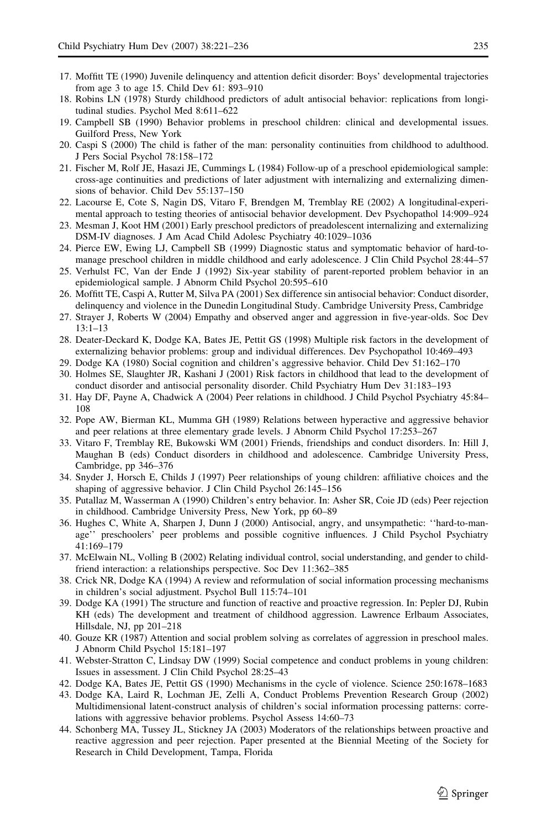- <span id="page-14-0"></span>17. Moffitt TE (1990) Juvenile delinquency and attention deficit disorder: Boys' developmental trajectories from age 3 to age 15. Child Dev 61: 893–910
- 18. Robins LN (1978) Sturdy childhood predictors of adult antisocial behavior: replications from longitudinal studies. Psychol Med 8:611–622
- 19. Campbell SB (1990) Behavior problems in preschool children: clinical and developmental issues. Guilford Press, New York
- 20. Caspi S (2000) The child is father of the man: personality continuities from childhood to adulthood. J Pers Social Psychol 78:158–172
- 21. Fischer M, Rolf JE, Hasazi JE, Cummings L (1984) Follow-up of a preschool epidemiological sample: cross-age continuities and predictions of later adjustment with internalizing and externalizing dimensions of behavior. Child Dev 55:137–150
- 22. Lacourse E, Cote S, Nagin DS, Vitaro F, Brendgen M, Tremblay RE (2002) A longitudinal-experimental approach to testing theories of antisocial behavior development. Dev Psychopathol 14:909–924
- 23. Mesman J, Koot HM (2001) Early preschool predictors of preadolescent internalizing and externalizing DSM-IV diagnoses. J Am Acad Child Adolesc Psychiatry 40:1029–1036
- 24. Pierce EW, Ewing LJ, Campbell SB (1999) Diagnostic status and symptomatic behavior of hard-tomanage preschool children in middle childhood and early adolescence. J Clin Child Psychol 28:44–57
- 25. Verhulst FC, Van der Ende J (1992) Six-year stability of parent-reported problem behavior in an epidemiological sample. J Abnorm Child Psychol 20:595–610
- 26. Moffitt TE, Caspi A, Rutter M, Silva PA (2001) Sex difference sin antisocial behavior: Conduct disorder, delinquency and violence in the Dunedin Longitudinal Study. Cambridge University Press, Cambridge
- 27. Strayer J, Roberts W (2004) Empathy and observed anger and aggression in five-year-olds. Soc Dev  $13.1 - 13$
- 28. Deater-Deckard K, Dodge KA, Bates JE, Pettit GS (1998) Multiple risk factors in the development of externalizing behavior problems: group and individual differences. Dev Psychopathol 10:469–493
- 29. Dodge KA (1980) Social cognition and children's aggressive behavior. Child Dev 51:162–170
- 30. Holmes SE, Slaughter JR, Kashani J (2001) Risk factors in childhood that lead to the development of conduct disorder and antisocial personality disorder. Child Psychiatry Hum Dev 31:183–193
- 31. Hay DF, Payne A, Chadwick A (2004) Peer relations in childhood. J Child Psychol Psychiatry 45:84– 108
- 32. Pope AW, Bierman KL, Mumma GH (1989) Relations between hyperactive and aggressive behavior and peer relations at three elementary grade levels. J Abnorm Child Psychol 17:253–267
- 33. Vitaro F, Tremblay RE, Bukowski WM (2001) Friends, friendships and conduct disorders. In: Hill J, Maughan B (eds) Conduct disorders in childhood and adolescence. Cambridge University Press, Cambridge, pp 346–376
- 34. Snyder J, Horsch E, Childs J (1997) Peer relationships of young children: affiliative choices and the shaping of aggressive behavior. J Clin Child Psychol 26:145–156
- 35. Putallaz M, Wasserman A (1990) Children's entry behavior. In: Asher SR, Coie JD (eds) Peer rejection in childhood. Cambridge University Press, New York, pp 60–89
- 36. Hughes C, White A, Sharpen J, Dunn J (2000) Antisocial, angry, and unsympathetic: ''hard-to-manage'' preschoolers' peer problems and possible cognitive influences. J Child Psychol Psychiatry 41:169–179
- 37. McElwain NL, Volling B (2002) Relating individual control, social understanding, and gender to childfriend interaction: a relationships perspective. Soc Dev 11:362–385
- 38. Crick NR, Dodge KA (1994) A review and reformulation of social information processing mechanisms in children's social adjustment. Psychol Bull 115:74–101
- 39. Dodge KA (1991) The structure and function of reactive and proactive regression. In: Pepler DJ, Rubin KH (eds) The development and treatment of childhood aggression. Lawrence Erlbaum Associates, Hillsdale, NJ, pp 201–218
- 40. Gouze KR (1987) Attention and social problem solving as correlates of aggression in preschool males. J Abnorm Child Psychol 15:181–197
- 41. Webster-Stratton C, Lindsay DW (1999) Social competence and conduct problems in young children: Issues in assessment. J Clin Child Psychol 28:25–43
- 42. Dodge KA, Bates JE, Pettit GS (1990) Mechanisms in the cycle of violence. Science 250:1678–1683
- 43. Dodge KA, Laird R, Lochman JE, Zelli A, Conduct Problems Prevention Research Group (2002) Multidimensional latent-construct analysis of children's social information processing patterns: correlations with aggressive behavior problems. Psychol Assess 14:60–73
- 44. Schonberg MA, Tussey JL, Stickney JA (2003) Moderators of the relationships between proactive and reactive aggression and peer rejection. Paper presented at the Biennial Meeting of the Society for Research in Child Development, Tampa, Florida